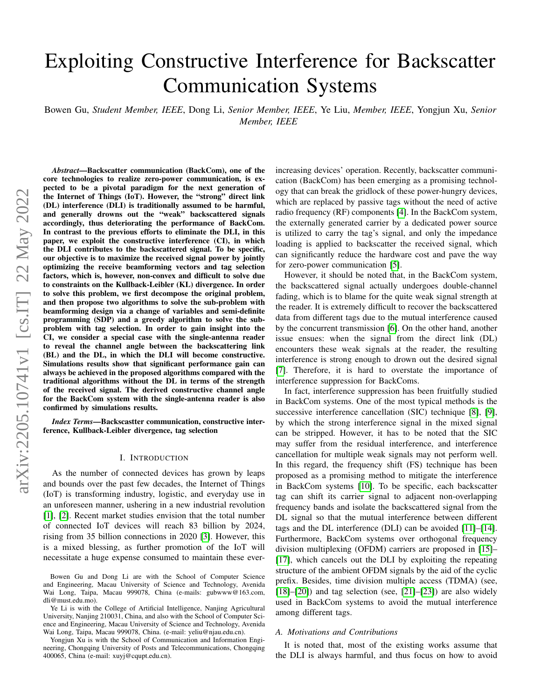# Exploiting Constructive Interference for Backscatter Communication Systems

Bowen Gu, *Student Member, IEEE*, Dong Li, *Senior Member, IEEE*, Ye Liu, *Member, IEEE*, Yongjun Xu, *Senior Member, IEEE*

*Abstract*—Backscatter communication (BackCom), one of the core technologies to realize zero-power communication, is expected to be a pivotal paradigm for the next generation of the Internet of Things (IoT). However, the "strong" direct link (DL) interference (DLI) is traditionally assumed to be harmful, and generally drowns out the "weak" backscattered signals accordingly, thus deteriorating the performance of BackCom. In contrast to the previous efforts to eliminate the DLI, in this paper, we exploit the constructive interference (CI), in which the DLI contributes to the backscattered signal. To be specific, our objective is to maximize the received signal power by jointly optimizing the receive beamforming vectors and tag selection factors, which is, however, non-convex and difficult to solve due to constraints on the Kullback-Leibler (KL) divergence. In order to solve this problem, we first decompose the original problem, and then propose two algorithms to solve the sub-problem with beamforming design via a change of variables and semi-definite programming (SDP) and a greedy algorithm to solve the subproblem with tag selection. In order to gain insight into the CI, we consider a special case with the single-antenna reader to reveal the channel angle between the backscattering link (BL) and the DL, in which the DLI will become constructive. Simulations results show that significant performance gain can always be achieved in the proposed algorithms compared with the traditional algorithms without the DL in terms of the strength of the received signal. The derived constructive channel angle for the BackCom system with the single-antenna reader is also confirmed by simulations results.

*Index Terms*—Backscastter communication, constructive interference, Kullback-Leibler divergence, tag selection

#### I. INTRODUCTION

As the number of connected devices has grown by leaps and bounds over the past few decades, the Internet of Things (IoT) is transforming industry, logistic, and everyday use in an unforeseen manner, ushering in a new industrial revolution [\[1\]](#page-9-0), [\[2\]](#page-9-1). Recent market studies envision that the total number of connected IoT devices will reach 83 billion by 2024, rising from 35 billion connections in 2020 [\[3\]](#page-9-2). However, this is a mixed blessing, as further promotion of the IoT will necessitate a huge expense consumed to maintain these ever-

Yongjun Xu is with the School of Communication and Information Engineering, Chongqing University of Posts and Telecommunications, Chongqing 400065, China (e-mail: xuyj@cqupt.edu.cn).

increasing devices' operation. Recently, backscatter communication (BackCom) has been emerging as a promising technology that can break the gridlock of these power-hungry devices, which are replaced by passive tags without the need of active radio frequency (RF) components [\[4\]](#page-10-0). In the BackCom system, the externally generated carrier by a dedicated power source is utilized to carry the tag's signal, and only the impedance loading is applied to backscatter the received signal, which can significantly reduce the hardware cost and pave the way for zero-power communication [\[5\]](#page-10-1).

However, it should be noted that, in the BackCom system, the backscattered signal actually undergoes double-channel fading, which is to blame for the quite weak signal strength at the reader. It is extremely difficult to recover the backscattered data from different tags due to the mutual interference caused by the concurrent transmission [\[6\]](#page-10-2). On the other hand, another issue ensues: when the signal from the direct link (DL) encounters these weak signals at the reader, the resulting interference is strong enough to drown out the desired signal [\[7\]](#page-10-3). Therefore, it is hard to overstate the importance of interference suppression for BackComs.

In fact, interference suppression has been fruitfully studied in BackCom systems. One of the most typical methods is the successive interference cancellation (SIC) technique [\[8\]](#page-10-4), [\[9\]](#page-10-5), by which the strong interference signal in the mixed signal can be stripped. However, it has to be noted that the SIC may suffer from the residual interference, and interference cancellation for multiple weak signals may not perform well. In this regard, the frequency shift (FS) technique has been proposed as a promising method to mitigate the interference in BackCom systems [\[10\]](#page-10-6). To be specific, each backscatter tag can shift its carrier signal to adjacent non-overlapping frequency bands and isolate the backscattered signal from the DL signal so that the mutual interference between different tags and the DL interference (DLI) can be avoided [\[11\]](#page-10-7)–[\[14\]](#page-10-8). Furthermore, BackCom systems over orthogonal frequency division multiplexing (OFDM) carriers are proposed in [\[15\]](#page-10-9)– [\[17\]](#page-10-10), which cancels out the DLI by exploiting the repeating structure of the ambient OFDM signals by the aid of the cyclic prefix. Besides, time division multiple access (TDMA) (see,  $[18]$ – $[20]$ ) and tag selection (see,  $[21]$ – $[23]$ ) are also widely used in BackCom systems to avoid the mutual interference among different tags.

# *A. Motivations and Contributions*

It is noted that, most of the existing works assume that the DLI is always harmful, and thus focus on how to avoid

Bowen Gu and Dong Li are with the School of Computer Science and Engineering, Macau University of Science and Technology, Avenida Wai Long, Taipa, Macau 999078, China (e-mails: gubwww@163.com, dli@must.edu.mo).

Ye Li is with the College of Artificial Intelligence, Nanjing Agricultural University, Nanjing 210031, China, and also with the School of Computer Science and Engineering, Macau University of Science and Technology, Avenida Wai Long, Taipa, Macau 999078, China. (e-mail: yeliu@njau.edu.cn).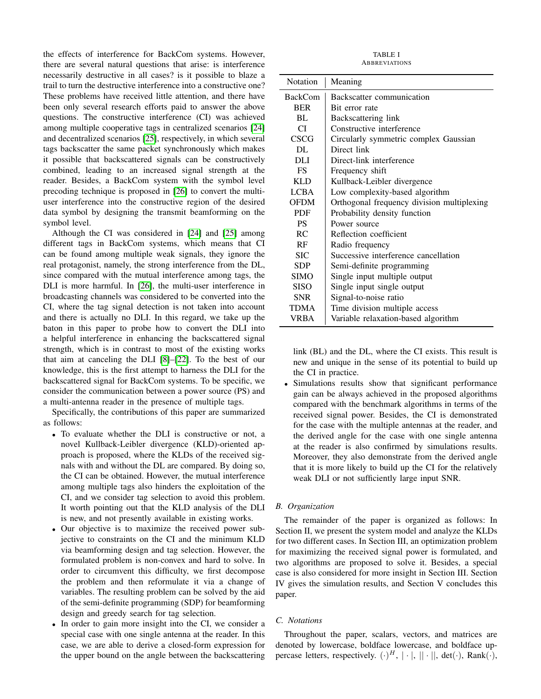the effects of interference for BackCom systems. However, there are several natural questions that arise: is interference necessarily destructive in all cases? is it possible to blaze a trail to turn the destructive interference into a constructive one? These problems have received little attention, and there have been only several research efforts paid to answer the above questions. The constructive interference (CI) was achieved among multiple cooperative tags in centralized scenarios [\[24\]](#page-10-15) and decentralized scenarios [\[25\]](#page-10-16), respectively, in which several tags backscatter the same packet synchronously which makes it possible that backscattered signals can be constructively combined, leading to an increased signal strength at the reader. Besides, a BackCom system with the symbol level precoding technique is proposed in [\[26\]](#page-10-17) to convert the multiuser interference into the constructive region of the desired data symbol by designing the transmit beamforming on the symbol level.

Although the CI was considered in [\[24\]](#page-10-15) and [\[25\]](#page-10-16) among different tags in BackCom systems, which means that CI can be found among multiple weak signals, they ignore the real protagonist, namely, the strong interference from the DL, since compared with the mutual interference among tags, the DLI is more harmful. In [\[26\]](#page-10-17), the multi-user interference in broadcasting channels was considered to be converted into the CI, where the tag signal detection is not taken into account and there is actually no DLI. In this regard, we take up the baton in this paper to probe how to convert the DLI into a helpful interference in enhancing the backscattered signal strength, which is in contrast to most of the existing works that aim at canceling the DLI [\[8\]](#page-10-4)–[\[22\]](#page-10-18). To the best of our knowledge, this is the first attempt to harness the DLI for the backscattered signal for BackCom systems. To be specific, we consider the communication between a power source (PS) and a multi-antenna reader in the presence of multiple tags.

Specifically, the contributions of this paper are summarized as follows:

- To evaluate whether the DLI is constructive or not, a novel Kullback-Leibler divergence (KLD)-oriented approach is proposed, where the KLDs of the received signals with and without the DL are compared. By doing so, the CI can be obtained. However, the mutual interference among multiple tags also hinders the exploitation of the CI, and we consider tag selection to avoid this problem. It worth pointing out that the KLD analysis of the DLI is new, and not presently available in existing works.
- Our objective is to maximize the received power subjective to constraints on the CI and the minimum KLD via beamforming design and tag selection. However, the formulated problem is non-convex and hard to solve. In order to circumvent this difficulty, we first decompose the problem and then reformulate it via a change of variables. The resulting problem can be solved by the aid of the semi-definite programming (SDP) for beamforming design and greedy search for tag selection.
- In order to gain more insight into the CI, we consider a special case with one single antenna at the reader. In this case, we are able to derive a closed-form expression for the upper bound on the angle between the backscattering

TABLE I **ABBREVIATIONS** 

| <b>Notation</b> | Meaning                                    |
|-----------------|--------------------------------------------|
| <b>BackCom</b>  | Backscatter communication                  |
| <b>BER</b>      | Bit error rate                             |
| BL.             | Backscattering link                        |
| CI.             | Constructive interference                  |
| <b>CSCG</b>     | Circularly symmetric complex Gaussian      |
| DL.             | Direct link                                |
| DLI             | Direct-link interference                   |
| <b>FS</b>       | Frequency shift                            |
| <b>KLD</b>      | Kullback-Leibler divergence                |
| <b>LCBA</b>     | Low complexity-based algorithm             |
| <b>OFDM</b>     | Orthogonal frequency division multiplexing |
| <b>PDF</b>      | Probability density function               |
| <b>PS</b>       | Power source                               |
| R <sub>C</sub>  | Reflection coefficient                     |
| RF              | Radio frequency                            |
| <b>SIC</b>      | Successive interference cancellation       |
| <b>SDP</b>      | Semi-definite programming                  |
| <b>SIMO</b>     | Single input multiple output               |
| <b>SISO</b>     | Single input single output                 |
| <b>SNR</b>      | Signal-to-noise ratio                      |
| <b>TDMA</b>     | Time division multiple access              |
| VRBA            | Variable relaxation-based algorithm        |

link (BL) and the DL, where the CI exists. This result is new and unique in the sense of its potential to build up the CI in practice.

Simulations results show that significant performance gain can be always achieved in the proposed algorithms compared with the benchmark algorithms in terms of the received signal power. Besides, the CI is demonstrated for the case with the multiple antennas at the reader, and the derived angle for the case with one single antenna at the reader is also confirmed by simulations results. Moreover, they also demonstrate from the derived angle that it is more likely to build up the CI for the relatively weak DLI or not sufficiently large input SNR.

# *B. Organization*

The remainder of the paper is organized as follows: In Section II, we present the system model and analyze the KLDs for two different cases. In Section III, an optimization problem for maximizing the received signal power is formulated, and two algorithms are proposed to solve it. Besides, a special case is also considered for more insight in Section III. Section IV gives the simulation results, and Section V concludes this paper.

# *C. Notations*

Throughout the paper, scalars, vectors, and matrices are denoted by lowercase, boldface lowercase, and boldface uppercase letters, respectively.  $(\cdot)^H$ ,  $|\cdot|$ ,  $||\cdot||$ , det $(\cdot)$ , Rank $(\cdot)$ ,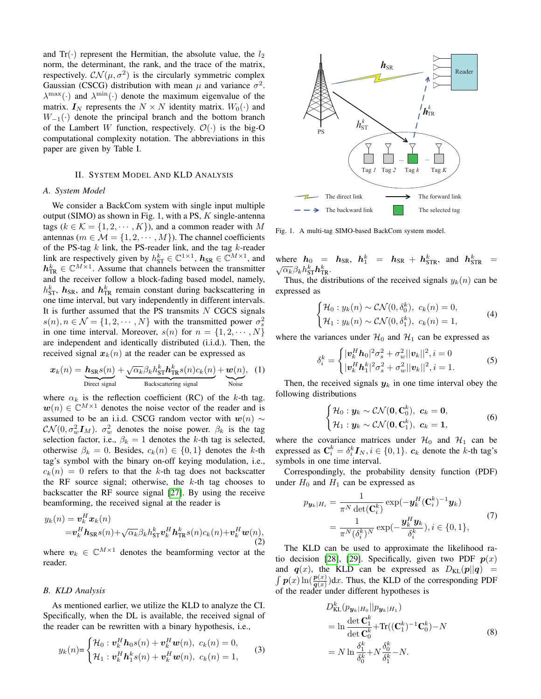and  $Tr(\cdot)$  represent the Hermitian, the absolute value, the  $l_2$ norm, the determinant, the rank, and the trace of the matrix, respectively.  $\mathcal{CN}(\mu, \sigma^2)$  is the circularly symmetric complex Gaussian (CSCG) distribution with mean  $\mu$  and variance  $\sigma^2$ .  $\lambda^{\max}(\cdot)$  and  $\lambda^{\min}(\cdot)$  denote the maximum eigenvalue of the matrix.  $I_N$  represents the  $N \times N$  identity matrix.  $W_0(\cdot)$  and  $W_{-1}(\cdot)$  denote the principal branch and the bottom branch of the Lambert W function, respectively.  $\mathcal{O}(\cdot)$  is the big-O computational complexity notation. The abbreviations in this paper are given by Table I.

# II. SYSTEM MODEL AND KLD ANALYSIS

### *A. System Model*

We consider a BackCom system with single input multiple output (SIMO) as shown in Fig. 1, with a PS,  $K$  single-antenna tags ( $k \in \mathcal{K} = \{1, 2, \dots, K\}$ ), and a common reader with M antennas ( $m \in \mathcal{M} = \{1, 2, \cdots, M\}$ ). The channel coefficients of the PS-tag  $k$  link, the PS-reader link, and the tag  $k$ -reader link are respectively given by  $h_{ST}^k \in \mathbb{C}^{1 \times 1}$ ,  $h_{SR} \in \mathbb{C}^{M \times 1}$ , and  $h_{\text{TR}}^k \in \mathbb{C}^{M \times 1}$ . Assume that channels between the transmitter and the receiver follow a block-fading based model, namely,  $h_{\text{ST}}^k$ ,  $\boldsymbol{h}_{\text{SR}}$ , and  $\boldsymbol{h}_{\text{TR}}^k$  remain constant during backscattering in one time interval, but vary independently in different intervals. It is further assumed that the PS transmits  $N$  CGCS signals  $s(n), n \in \mathcal{N} = \{1, 2, \cdots, N\}$  with the transmitted power  $\sigma_s^2$ in one time interval. Moreover,  $s(n)$  for  $n = \{1, 2, \dots, N\}$ are independent and identically distributed (i.i.d.). Then, the received signal  $x_k(n)$  at the reader can be expressed as

$$
\boldsymbol{x}_{k}(n) = \underbrace{\boldsymbol{h}_{\text{SR}}s(n)}_{\text{Direct signal}} + \underbrace{\sqrt{\alpha_{k}}\beta_{k}h_{\text{ST}}^{k}\boldsymbol{h}_{\text{TR}}^{k}s(n)c_{k}(n)}_{\text{Backscattering signal}} + \underbrace{\boldsymbol{w}(n)}_{\text{Noise}}, \quad (1)
$$

where  $\alpha_k$  is the reflection coefficient (RC) of the k-th tag.  $w(n) \in \mathbb{C}^{M \times 1}$  denotes the noise vector of the reader and is assumed to be an i.i.d. CSCG random vector with  $w(n) \sim$  $\mathcal{CN}(0, \sigma_w^2 \mathbf{I}_M)$ .  $\sigma_w^2$  denotes the noise power.  $\beta_k$  is the tag selection factor, i.e.,  $\beta_k = 1$  denotes the k-th tag is selected, otherwise  $\beta_k = 0$ . Besides,  $c_k(n) \in \{0, 1\}$  denotes the k-th tag's symbol with the binary on-off keying modulation, i.e.,  $c_k(n) = 0$  refers to that the k-th tag does not backscatter the RF source signal; otherwise, the  $k$ -th tag chooses to backscatter the RF source signal [\[27\]](#page-10-19). By using the receive beamforming, the received signal at the reader is

$$
y_k(n) = \mathbf{v}_k^H \mathbf{x}_k(n)
$$
  
=  $\mathbf{v}_k^H \mathbf{h}_{SR} s(n) + \sqrt{\alpha_k} \beta_k h_{ST}^k \mathbf{v}_k^H \mathbf{h}_{TR}^k s(n) c_k(n) + \mathbf{v}_k^H \mathbf{w}(n)$ ,  
(2)  
where  $\mathbf{v}_k \in \mathbb{C}^{M \times 1}$  denotes the beamforming vector at the

where  $v_k \in \mathbb{C}^{M \times 1}$  denotes the beamforming vector at the reader.

### *B. KLD Analysis*

As mentioned earlier, we utilize the KLD to analyze the CI. Specifically, when the DL is available, the received signal of the reader can be rewritten with a binary hypothesis, i.e.,

$$
y_k(n) = \begin{cases} \mathcal{H}_0 : \boldsymbol{v}_k^H \boldsymbol{h}_0 s(n) + \boldsymbol{v}_k^H \boldsymbol{w}(n), & c_k(n) = 0, \\ \mathcal{H}_1 : \boldsymbol{v}_k^H \boldsymbol{h}_1^k s(n) + \boldsymbol{v}_k^H \boldsymbol{w}(n), & c_k(n) = 1, \end{cases}
$$
(3)



Fig. 1. A multi-tag SIMO-based BackCom system model.

where  $h_0 = h_{SR}$ ,  $h_1^k = h_{SR} + h_{STR}^k$ , and  $h_{STR}^k =$  $\overline{\alpha_k} \beta_k h_{\textrm{ST}}^k \boldsymbol{h}_{\textrm{TR}}^k.$ 

Thus, the distributions of the received signals  $y_k(n)$  can be expressed as

$$
\begin{cases} \mathcal{H}_0: y_k(n) \sim \mathcal{CN}(0, \delta_0^k), \ c_k(n) = 0, \\ \mathcal{H}_1: y_k(n) \sim \mathcal{CN}(0, \delta_1^k), \ c_k(n) = 1, \end{cases}
$$
 (4)

where the variances under  $\mathcal{H}_0$  and  $\mathcal{H}_1$  can be expressed as

$$
\delta_i^k = \begin{cases} |\mathbf{v}_k^H \mathbf{h}_0|^2 \sigma_s^2 + \sigma_w^2 ||\mathbf{v}_k||^2, i = 0\\ |\mathbf{v}_k^H \mathbf{h}_1^k|^2 \sigma_s^2 + \sigma_w^2 ||\mathbf{v}_k||^2, i = 1. \end{cases}
$$
(5)

Then, the received signals  $y_k$  in one time interval obey the following distributions

$$
\begin{cases} \mathcal{H}_0: \boldsymbol{y}_k \sim \mathcal{CN}(\boldsymbol{0}, \mathbf{C}_0^k), \ \boldsymbol{c}_k = \boldsymbol{0}, \\ \mathcal{H}_1: \boldsymbol{y}_k \sim \mathcal{CN}(\boldsymbol{0}, \mathbf{C}_1^k), \ \boldsymbol{c}_k = \boldsymbol{1}, \end{cases}
$$
 (6)

where the covariance matrices under  $\mathcal{H}_0$  and  $\mathcal{H}_1$  can be expressed as  $\mathbf{C}_i^k = \delta_i^k \mathbf{I}_N, i \in \{0, 1\}$ .  $\mathbf{c}_k$  denote the k-th tag's symbols in one time interval.

Correspondingly, the probability density function (PDF) under  $H_0$  and  $H_1$  can be expressed as

$$
p_{\boldsymbol{y}_k|H_i} = \frac{1}{\pi^N \det(\mathbf{C}_i^k)} \exp(-\boldsymbol{y}_k^H (\mathbf{C}_i^k)^{-1} \boldsymbol{y}_k)
$$
  
= 
$$
\frac{1}{\pi^N (\delta_i^k)^N} \exp(-\frac{\boldsymbol{y}_k^H \boldsymbol{y}_k}{\delta_i^k}), i \in \{0, 1\},
$$
 (7)

The KLD can be used to approximate the likelihood ra-tio decision [\[28\]](#page-10-20), [\[29\]](#page-10-21). Specifically, given two PDF  $p(x)$ and  $q(x)$ , the KLD can be expressed as  $D_{KL}(p||q)$  =  $\int p(x) \ln(\frac{p(x)}{q(x)}) dx$ . Thus, the KLD of the corresponding PDF of the reader under different hypotheses is

$$
D_{\text{KL}}^{k}(p_{\boldsymbol{y}_{k}|H_{0}}||p_{\boldsymbol{y}_{k}|H_{1}})
$$
  
=  $\ln \frac{\det \mathbf{C}_{1}^{k}}{\det \mathbf{C}_{0}^{k}} + \text{Tr}((\mathbf{C}_{1}^{k})^{-1}\mathbf{C}_{0}^{k}) - N$   
=  $N \ln \frac{\delta_{1}^{k}}{\delta_{0}^{k}} + N \frac{\delta_{0}^{k}}{\delta_{1}^{k}} - N.$  (8)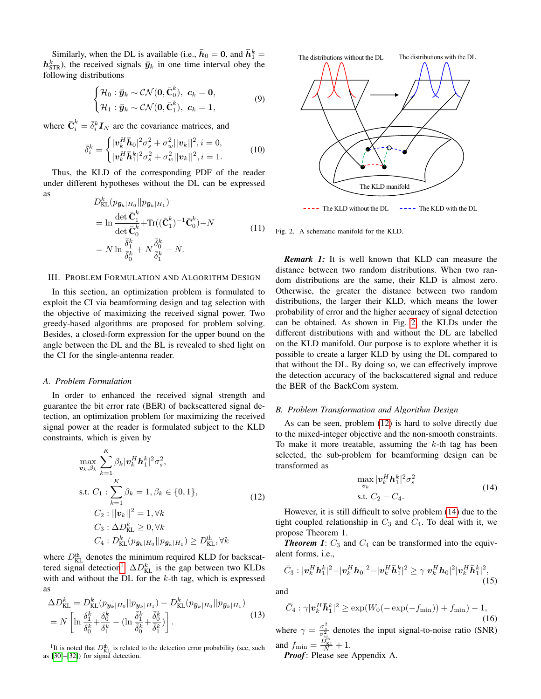Similarly, when the DL is available (i.e.,  $\bar{h}_0 = 0$ , and  $\bar{h}_1^k =$  $h_{\text{STR}}^k$ ), the received signals  $\bar{y}_k$  in one time interval obey the following distributions

$$
\begin{cases} \mathcal{H}_0: \bar{\mathbf{y}}_k \sim \mathcal{CN}(\mathbf{0}, \bar{\mathbf{C}}_0^k), \ \mathbf{c}_k = \mathbf{0}, \\ \mathcal{H}_1: \bar{\mathbf{y}}_k \sim \mathcal{CN}(\mathbf{0}, \bar{\mathbf{C}}_1^k), \ \mathbf{c}_k = \mathbf{1}, \end{cases}
$$
(9)

where  $\bar{C}_i^k = \bar{\delta}_i^k I_N$  are the covariance matrices, and

$$
\bar{\delta}_i^k = \begin{cases} |\mathbf{v}_k^H \bar{\mathbf{h}}_0|^2 \sigma_s^2 + \sigma_w^2 ||\mathbf{v}_k||^2, i = 0, \\ |\mathbf{v}_k^H \bar{\mathbf{h}}_1^k|^2 \sigma_s^2 + \sigma_w^2 ||\mathbf{v}_k||^2, i = 1. \end{cases}
$$
(10)

Thus, the KLD of the corresponding PDF of the reader under different hypotheses without the DL can be expressed as  $\overline{L}$ 

<span id="page-3-4"></span>
$$
D_{\text{KL}}^{k} (p_{\bar{y}_k|H_0} || p_{\bar{y}_k|H_1})
$$
  
=  $\ln \frac{\det \bar{\mathbf{C}}_1^k}{\det \bar{\mathbf{C}}_0^k} + \text{Tr}((\bar{\mathbf{C}}_1^k)^{-1} \bar{\mathbf{C}}_0^k) - N$   
=  $N \ln \frac{\bar{\delta}_1^k}{\bar{\delta}_0^k} + N \frac{\bar{\delta}_0^k}{\bar{\delta}_1^k} - N.$  (11)

# III. PROBLEM FORMULATION AND ALGORITHM DESIGN

In this section, an optimization problem is formulated to exploit the CI via beamforming design and tag selection with the objective of maximizing the received signal power. Two greedy-based algorithms are proposed for problem solving. Besides, a closed-form expression for the upper bound on the angle between the DL and the BL is revealed to shed light on the CI for the single-antenna reader.

### *A. Problem Formulation*

In order to enhanced the received signal strength and guarantee the bit error rate (BER) of backscattered signal detection, an optimization problem for maximizing the received signal power at the reader is formulated subject to the KLD constraints, which is given by

<span id="page-3-2"></span>
$$
\max_{\mathbf{v}_k, \beta_k} \sum_{k=1}^K \beta_k |\mathbf{v}_k^H \mathbf{h}_1^k|^2 \sigma_s^2,
$$
\ns.t.  $C_1 : \sum_{k=1}^K \beta_k = 1, \beta_k \in \{0, 1\},$   
\n $C_2 : ||\mathbf{v}_k||^2 = 1, \forall k$   
\n $C_3 : \Delta D_{\text{KL}}^k \ge 0, \forall k$   
\n $C_4 : D_{\text{KL}}^k(p_{\bar{\mathbf{y}}_k|H_0} || p_{\bar{\mathbf{y}}_k|H_1}) \ge D_{\text{KL}}^{\text{th}}, \forall k$ \n(12)

where  $D_{\text{KL}}^{\text{th}}$  denotes the minimum required KLD for backscat-tered signal detection<sup>[1](#page-3-0)</sup>.  $\Delta D_{\text{KL}}^k$  is the gap between two KLDs with and without the DL for the  $k$ -th tag, which is expressed as

$$
\Delta D_{\text{KL}}^k = D_{\text{KL}}^k (p_{\boldsymbol{y}_k|H_0} || p_{\boldsymbol{y}_k|H_1}) - D_{\text{KL}}^k (p_{\bar{\boldsymbol{y}}_k|H_0} || p_{\bar{\boldsymbol{y}}_k|H_1})
$$
  
=  $N \left[ \ln \frac{\delta_1^k}{\delta_0^k} + \frac{\delta_0^k}{\delta_1^k} - (\ln \frac{\bar{\delta}_1^k}{\bar{\delta}_0^k} + \frac{\bar{\delta}_0^k}{\bar{\delta}_1^k}) \right].$  (13)

<span id="page-3-0"></span><sup>1</sup>It is noted that  $D_{\text{KL}}^{\text{th}}$  is related to the detection error probability (see, such as [\[30\]](#page-10-22)–[\[32\]](#page-10-23)) for signal detection.



<span id="page-3-1"></span> $---$  The KLD without the DL  $---$  The KLD with the DL

Fig. 2. A schematic manifold for the KLD.

*Remark 1:* It is well known that KLD can measure the distance between two random distributions. When two random distributions are the same, their KLD is almost zero. Otherwise, the greater the distance between two random distributions, the larger their KLD, which means the lower probability of error and the higher accuracy of signal detection can be obtained. As shown in Fig. [2,](#page-3-1) the KLDs under the different distributions with and without the DL are labelled on the KLD manifold. Our purpose is to explore whether it is possible to create a larger KLD by using the DL compared to that without the DL. By doing so, we can effectively improve the detection accuracy of the backscattered signal and reduce the BER of the BackCom system.

# *B. Problem Transformation and Algorithm Design*

As can be seen, problem [\(12\)](#page-3-2) is hard to solve directly due to the mixed-integer objective and the non-smooth constraints. To make it more treatable, assuming the  $k$ -th tag has been selected, the sub-problem for beamforming design can be transformed as

$$
\max_{\mathbf{v}_k} |\mathbf{v}_k^H \mathbf{h}_1^k|^2 \sigma_s^2
$$
\ns.t.  $C_2 - C_4$ . (14)

<span id="page-3-3"></span>However, it is still difficult to solve problem [\(14\)](#page-3-3) due to the tight coupled relationship in  $C_3$  and  $C_4$ . To deal with it, we propose Theorem 1.

**Theorem 1:**  $C_3$  and  $C_4$  can be transformed into the equivalent forms, i.e.,

$$
\bar{C}_3: |\bm{v}_k^H \bm{h}_1^k|^2 - |\bm{v}_k^H \bm{h}_0|^2 - |\bm{v}_k^H \bar{\bm{h}}_1^k|^2 \geq \gamma |\bm{v}_k^H \bm{h}_0|^2 |\bm{v}_k^H \bar{\bm{h}}_1^k|^2, \tag{15}
$$

and

$$
\bar{C}_4 : \gamma |\boldsymbol{v}_k^H \bar{\boldsymbol{h}}_1^k|^2 \ge \exp(W_0(-\exp(-f_{\min})) + f_{\min}) - 1,
$$
\n(16)

where  $\gamma = \frac{\sigma_s^2}{\sigma_w^2}$  denotes the input signal-to-noise ratio (SNR) and  $f_{\min} = \frac{\overline{D}_{\text{KL}}^{\text{th}}}{N} + 1$ .

*Proof*: Please see Appendix A.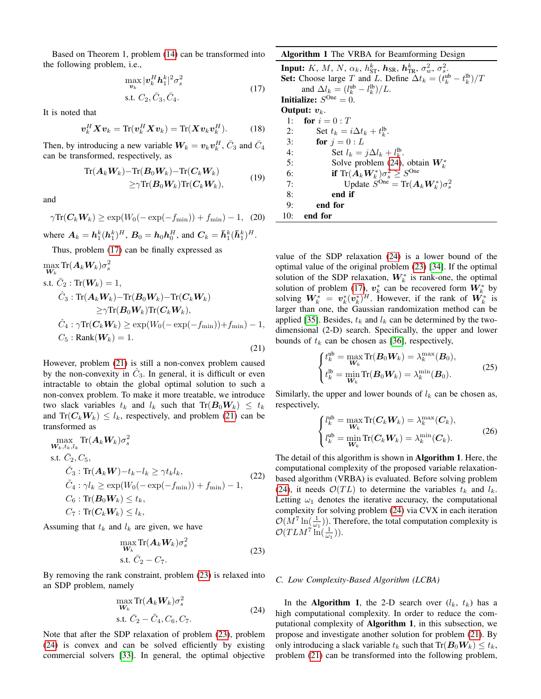Based on Theorem 1, problem [\(14\)](#page-3-3) can be transformed into the following problem, i.e.,

$$
\max_{\mathbf{v}_k} |\mathbf{v}_k^H \mathbf{h}_1^k|^2 \sigma_s^2
$$
\ns.t.  $C_2, \bar{C}_3, \bar{C}_4$ . (17)

<span id="page-4-0"></span>It is noted that

$$
\boldsymbol{v}_k^H \boldsymbol{X} \boldsymbol{v}_k = \text{Tr}(\boldsymbol{v}_k^H \boldsymbol{X} \boldsymbol{v}_k) = \text{Tr}(\boldsymbol{X} \boldsymbol{v}_k \boldsymbol{v}_k^H).
$$
 (18)

Then, by introducing a new variable  $W_k = v_k v_k^H$ ,  $\bar{C}_3$  and  $\bar{C}_4$ can be transformed, respectively, as

$$
\mathrm{Tr}(\mathbf{A}_k \mathbf{W}_k) - \mathrm{Tr}(\mathbf{B}_0 \mathbf{W}_k) - \mathrm{Tr}(\mathbf{C}_k \mathbf{W}_k) \ge \gamma \mathrm{Tr}(\mathbf{B}_0 \mathbf{W}_k) \mathrm{Tr}(\mathbf{C}_k \mathbf{W}_k),
$$
\n(19)

and

$$
\gamma \text{Tr}(\boldsymbol{C}_k \boldsymbol{W}_k) \ge \exp(W_0(-\exp(-f_{\min})) + f_{\min}) - 1, \quad (20)
$$

where  $A_k = h_1^k (h_1^k)^H$ ,  $B_0 = h_0 h_0^H$ , and  $C_k = \bar{h}_1^k (\bar{h}_1^k)^H$ .

Thus, problem [\(17\)](#page-4-0) can be finally expressed as

<span id="page-4-1"></span>
$$
\max_{\mathbf{W}_k} \text{Tr}(\mathbf{A}_k \mathbf{W}_k) \sigma_s^2
$$
\ns.t.  $\bar{C}_2 : \text{Tr}(\mathbf{W}_k) = 1$ ,  
\n $\hat{C}_3 : \text{Tr}(\mathbf{A}_k \mathbf{W}_k) - \text{Tr}(\mathbf{B}_0 \mathbf{W}_k) - \text{Tr}(\mathbf{C}_k \mathbf{W}_k)$   
\n $\geq \gamma \text{Tr}(\mathbf{B}_0 \mathbf{W}_k) \text{Tr}(\mathbf{C}_k \mathbf{W}_k)$ ,  
\n $\hat{C}_4 : \gamma \text{Tr}(\mathbf{C}_k \mathbf{W}_k) \geq \exp(W_0(-\exp(-f_{\min})) + f_{\min}) - 1$ ,  
\n $C_5 : \text{Rank}(\mathbf{W}_k) = 1.$ \n(21)

However, problem [\(21\)](#page-4-1) is still a non-convex problem caused by the non-convexity in  $\hat{C}_3$ . In general, it is difficult or even intractable to obtain the global optimal solution to such a non-convex problem. To make it more treatable, we introduce two slack variables  $t_k$  and  $l_k$  such that  $\text{Tr}(\boldsymbol{B}_0 \boldsymbol{W}_k) \leq t_k$ and  $\text{Tr}(C_kW_k) \leq l_k$ , respectively, and problem [\(21\)](#page-4-1) can be transformed as

$$
\max_{\mathbf{W}_k, t_k, l_k} \text{Tr}(\mathbf{A}_k \mathbf{W}_k) \sigma_s^2
$$
\ns.t.  $\bar{C}_2, C_5$ ,  
\n $\check{C}_3 : \text{Tr}(\mathbf{A}_k \mathbf{W}) - t_k - l_k \ge \gamma t_k l_k$ ,  
\n $\tilde{C}_4 : \gamma l_k \ge \exp(W_0(-\exp(-f_{\min})) + f_{\min}) - 1$ ,  
\n $C_6 : \text{Tr}(\mathbf{B}_0 \mathbf{W}_k) \le t_k$ ,  
\n $C_7 : \text{Tr}(\mathbf{C}_k \mathbf{W}_k) \le l_k$ , (22)

<span id="page-4-2"></span>Assuming that  $t_k$  and  $l_k$  are given, we have

$$
\max_{\mathbf{W}_k} \text{Tr}(\mathbf{A}_k \mathbf{W}_k) \sigma_s^2
$$
  
s.t.  $\bar{C}_2 - C_7$ . (23)

By removing the rank constraint, problem [\(23\)](#page-4-2) is relaxed into an SDP problem, namely

$$
\max_{\mathbf{W}_k} \text{Tr}(\mathbf{A}_k \mathbf{W}_k) \sigma_s^2
$$
  
s.t.  $\bar{C}_2 - \tilde{C}_4, C_6, C_7.$  (24)

<span id="page-4-3"></span>Note that after the SDP relaxation of problem [\(23\)](#page-4-2), problem [\(24\)](#page-4-3) is convex and can be solved efficiently by existing commercial solvers [\[33\]](#page-10-24). In general, the optimal objective

| <b>Algorithm 1</b> The VRBA for Beamforming Design                                                                          |  |
|-----------------------------------------------------------------------------------------------------------------------------|--|
| <b>Input:</b> K, M, N, $\alpha_k$ , $h_{\text{ST}}^k$ , $h_{\text{SR}}$ , $h_{\text{TR}}^k$ , $\sigma_w^2$ , $\sigma_v^2$ . |  |
| <b>Set:</b> Choose large T and L. Define $\Delta t_k = (t_k^{ub} - t_k^{lb})/T$                                             |  |
| and $\Delta l_k = (l_k^{\text{ub}} - l_k^{\text{lb}})/L$ .                                                                  |  |
| <b>Initialize:</b> $S^{\text{One}} = 0$ .                                                                                   |  |
| Output: $v_k$ .                                                                                                             |  |
| for $i=0:T$<br>1:                                                                                                           |  |
| Set $t_k = i\Delta t_k + t_k^{\text{lb}}$ .<br>2:                                                                           |  |
| for $i=0:L$<br>3:                                                                                                           |  |
| Set $l_k = j\Delta l_k + l_k^{\text{lb}}$ .<br>4:                                                                           |  |
| 5:<br>Solve problem (24), obtain $W_k^*$                                                                                    |  |
| if $\text{Tr}(\mathbf{A}_k \mathbf{W}_k^*) \sigma_s^2 \geq S^{\text{One}}$<br>6:                                            |  |
| Update $\widetilde{S}^{\text{One}} = \text{Tr}(\mathbf{A}_k \mathbf{W}_k^*) \sigma_s^2$<br>7:                               |  |
| 8:<br>end if                                                                                                                |  |
| 9:<br>end for                                                                                                               |  |
| 10:<br>end for                                                                                                              |  |

value of the SDP relaxation [\(24\)](#page-4-3) is a lower bound of the optimal value of the original problem [\(23\)](#page-4-2) [\[34\]](#page-10-25). If the optimal solution of the SDP relaxation,  $W_k^*$  is rank-one, the optimal solution of problem [\(17\)](#page-4-0),  $v_k^*$  can be recovered form  $W_k^*$  by solving  $W_k^* = v_k^*(v_k^*)^H$ . However, if the rank of  $W_k^*$  is larger than one, the Gaussian randomization method can be applied [\[35\]](#page-10-26). Besides,  $t_k$  and  $l_k$  can be determined by the twodimensional (2-D) search. Specifically, the upper and lower bounds of  $t_k$  can be chosen as [\[36\]](#page-10-27), respectively,

<span id="page-4-4"></span>
$$
\begin{cases} t_k^{\text{ub}} = \max_{\mathbf{W}_k} \text{Tr}(\mathbf{B}_0 \mathbf{W}_k) = \lambda_k^{\max}(\mathbf{B}_0), \\ t_k^{\text{lb}} = \min_{\mathbf{W}_k} \text{Tr}(\mathbf{B}_0 \mathbf{W}_k) = \lambda_k^{\min}(\mathbf{B}_0). \end{cases} \tag{25}
$$

Similarly, the upper and lower bounds of  $l_k$  can be chosen as, respectively,

$$
\begin{cases}\n l_k^{\text{ub}} = \max_{\boldsymbol{W}_k} \text{Tr}(\boldsymbol{C}_k \boldsymbol{W}_k) = \lambda_k^{\max}(\boldsymbol{C}_k), \\
 l_k^{\text{ub}} = \min_{\boldsymbol{W}_k} \text{Tr}(\boldsymbol{C}_k \boldsymbol{W}_k) = \lambda_k^{\min}(\boldsymbol{C}_k).\n\end{cases}
$$
\n(26)

The detail of this algorithm is shown in Algorithm 1. Here, the computational complexity of the proposed variable relaxationbased algorithm (VRBA) is evaluated. Before solving problem [\(24\)](#page-4-3), it needs  $\mathcal{O}(TL)$  to determine the variables  $t_k$  and  $l_k$ . Letting  $\omega_1$  denotes the iterative accuracy, the computational complexity for solving problem [\(24\)](#page-4-3) via CVX in each iteration  $\mathcal{O}(M^7 \ln(\frac{1}{\omega_1}))$ . Therefore, the total computation complexity is  $\mathcal{O}(TLM^7 \ln(\frac{1}{\omega_1})).$ 

### *C. Low Complexity-Based Algorithm (LCBA)*

In the Algorithm 1, the 2-D search over  $(l_k, t_k)$  has a high computational complexity. In order to reduce the computational complexity of Algorithm 1, in this subsection, we propose and investigate another solution for problem [\(21\)](#page-4-1). By only introducing a slack variable  $t_k$  such that  $Tr(\boldsymbol{B}_0 \boldsymbol{W}_k) \leq t_k$ , problem [\(21\)](#page-4-1) can be transformed into the following problem,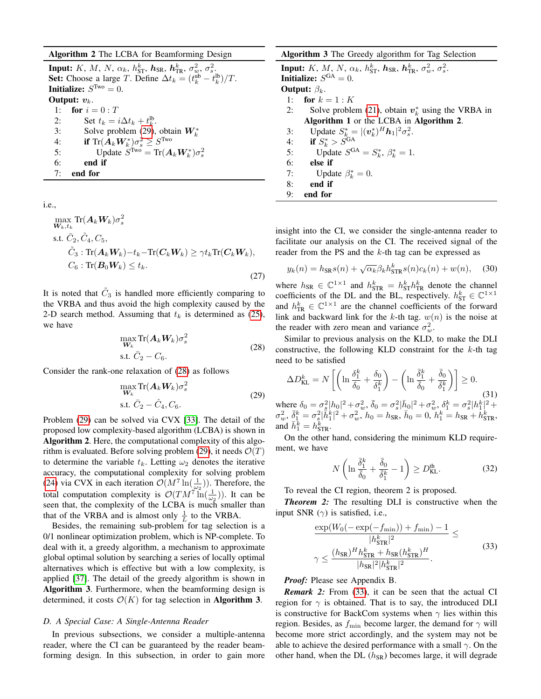# Algorithm 2 The LCBA for Beamforming Design

Input:  $K$ ,  $M$ ,  $N$ ,  $\alpha_k$ ,  $h_{\rm ST}^k$ ,  $\bm{h}_{\rm SR}$ ,  $\bm{h}_{\rm TR}^k$ ,  $\sigma_w^2$ ,  $\sigma_s^2$ . **Set:** Choose a large *T*. Define  $\Delta t_k = (t_k^{\text{ub}} - t_k^{\text{lb}})/T$ . **Initialize:**  $S^{Two} = 0$ . Output:  $v_k$ . 1: **for**  $i = 0 : T$ 2: Set  $t_k = i\Delta t_k + t_k^{\text{lb}}$ . 3: Solve problem [\(29\)](#page-5-0), obtain  $W_k^*$ 4: **if**  $\text{Tr}(\boldsymbol{A}_k \boldsymbol{W}_k^*) \sigma_s^2 \geq S^{\text{Two}}$ 5: Update  $S^{Two} = Tr(A_k W_k^*) \sigma_s^2$ 6: end if 7: end for

i.e.,

$$
\max_{\mathbf{W}_k, t_k} \text{Tr}(\mathbf{A}_k \mathbf{W}_k) \sigma_s^2
$$
\ns.t.  $\bar{C}_2, \hat{C}_4, C_5$ ,  
\n $\tilde{C}_3 : \text{Tr}(\mathbf{A}_k \mathbf{W}_k) - t_k - \text{Tr}(\mathbf{C}_k \mathbf{W}_k) \ge \gamma t_k \text{Tr}(\mathbf{C}_k \mathbf{W}_k)$ ,  
\n $C_6 : \text{Tr}(\mathbf{B}_0 \mathbf{W}_k) \le t_k$ . (27)

It is noted that  $\tilde{C}_3$  is handled more efficiently comparing to the VRBA and thus avoid the high complexity caused by the 2-D search method. Assuming that  $t_k$  is determined as [\(25\)](#page-4-4), we have

$$
\max_{\boldsymbol{W}_k} \text{Tr}(\boldsymbol{A}_k \boldsymbol{W}_k) \sigma_s^2
$$
\n
$$
\text{s.t. } \bar{C}_2 - C_6. \tag{28}
$$

<span id="page-5-1"></span><span id="page-5-0"></span>Consider the rank-one relaxation of [\(28\)](#page-5-1) as follows

$$
\max_{\boldsymbol{W}_k} \text{Tr}(\boldsymbol{A}_k \boldsymbol{W}_k) \sigma_s^2
$$
\ns.t.  $\bar{C}_2 - \hat{C}_4, C_6$ . (29)

Problem [\(29\)](#page-5-0) can be solved via CVX [\[33\]](#page-10-24). The detail of the proposed low complexity-based algorithm (LCBA) is shown in Algorithm 2. Here, the computational complexity of this algo-rithm is evaluated. Before solving problem [\(29\)](#page-5-0), it needs  $\mathcal{O}(T)$ to determine the variable  $t_k$ . Letting  $\omega_2$  denotes the iterative accuracy, the computational complexity for solving problem [\(24\)](#page-4-3) via CVX in each iteration  $\mathcal{O}(M^7 \ln(\frac{1}{\omega_2}))$ . Therefore, the total computation complexity is  $\mathcal{O}(TM^7 \ln(\frac{1}{\omega_2}))$ . It can be seen that, the complexity of the LCBA is much smaller than that of the VRBA and is almost only  $\frac{1}{L}$  to the VRBA.

Besides, the remaining sub-problem for tag selection is a 0/1 nonlinear optimization problem, which is NP-complete. To deal with it, a greedy algorithm, a mechanism to approximate global optimal solution by searching a series of locally optimal alternatives which is effective but with a low complexity, is applied [\[37\]](#page-10-28). The detail of the greedy algorithm is shown in Algorithm 3. Furthermore, when the beamforming design is determined, it costs  $\mathcal{O}(K)$  for tag selection in **Algorithm 3**.

# *D. A Special Case: A Single-Antenna Reader*

In previous subsections, we consider a multiple-antenna reader, where the CI can be guaranteed by the reader beamforming design. In this subsection, in order to gain more

# Algorithm 3 The Greedy algorithm for Tag Selection **Input:** K, M, N,  $\alpha_k$ ,  $h_{\text{ST}}^k$ ,  $\bm{h}_{\text{SR}}$ ,  $\bm{h}_{\text{TR}}^k$ ,  $\sigma_w^2$ ,  $\sigma_s^2$ . **Initialize:**  $S^{GA} = 0$ . **Output:**  $\beta_k$ . 1: **for**  $k = 1 : K$ 2: Solve problem [\(21\)](#page-4-1), obtain  $v_k^*$  using the VRBA in Algorithm 1 or the LCBA in Algorithm 2. 3: Update  $S_{k}^* = |(\boldsymbol{v}_k^*)^H \boldsymbol{h}_1|^2 \sigma_s^2$ . 4: if  $S_k^* > S^{\text{GA}}$ 5: Update  $S^{GA} = S_k^*, \ \beta_k^* = 1.$ 6: else if 7: Update  $\beta_k^* = 0$ . 8: end if 9: end for

insight into the CI, we consider the single-antenna reader to facilitate our analysis on the CI. The received signal of the reader from the PS and the k-th tag can be expressed as

$$
y_k(n) = h_{\text{SR}}s(n) + \sqrt{\alpha_k} \beta_k h_{\text{STR}}^k s(n)c_k(n) + w(n), \quad (30)
$$

where  $h_{SR} \in \mathbb{C}^{1 \times 1}$  and  $h_{STR}^k = h_{ST}^k h_{TR}^k$  denote the channel coefficients of the DL and the BL, respectively.  $h_{ST}^k \in \mathbb{C}^{1 \times 1}$ and  $h_{TR}^k \in \mathbb{C}^{1 \times 1}$  are the channel coefficients of the forward link and backward link for the k-th tag.  $w(n)$  is the noise at the reader with zero mean and variance  $\sigma_w^2$ .

Similar to previous analysis on the KLD, to make the DLI constructive, the following KLD constraint for the  $k$ -th tag need to be satisfied

<span id="page-5-3"></span>
$$
\Delta D_{\text{KL}}^k = N \left[ \left( \ln \frac{\delta_1^k}{\delta_0} + \frac{\delta_0}{\delta_1^k} \right) - \left( \ln \frac{\bar{\delta}_1^k}{\bar{\delta}_0} + \frac{\bar{\delta}_0}{\bar{\delta}_1^k} \right) \right] \ge 0.
$$
\nwhere  $\delta_0 = \sigma_s^2 |h_0|^2 + \sigma_w^2$ ,  $\bar{\delta}_0 = \sigma_s^2 |\bar{h}_0|^2 + \sigma_w^2$ ,  $\delta_1^k = \sigma_s^2 |h_1^k|^2 + \sigma_w^2$ ,  $\bar{\delta}_1^k = \sigma_s^2 |\bar{h}_1^k|^2 + \sigma_w^2$ ,  $h_0 = h_{\text{SR}}$ ,  $\bar{h}_0 = 0$ ,  $h_1^k = h_{\text{SR}} + h_{\text{STR}}^k$ ,  
\nand  $\bar{h}_1^k = h_{\text{STR}}^k$ .

On the other hand, considering the minimum KLD requirement, we have

<span id="page-5-4"></span>
$$
N\left(\ln\frac{\bar{\delta}_1^k}{\bar{\delta}_0} + \frac{\bar{\delta}_0}{\bar{\delta}_1^k} - 1\right) \ge D_{\text{KL}}^{\text{th}}.\tag{32}
$$

To reveal the CI region, theorem 2 is proposed.

*Theorem 2:* The resulting DLI is constructive when the input SNR  $(\gamma)$  is satisfied, i.e.,

<span id="page-5-2"></span>
$$
\frac{\exp(W_0(-\exp(-f_{\min}))+f_{\min})-1}{|h_{\text{STR}}^k|^2} \le
$$
\n
$$
\gamma \le \frac{(h_{\text{SR}})^H h_{\text{STR}}^k + h_{\text{SR}} (h_{\text{STR}}^k)^H}{|h_{\text{SR}}|^2 |h_{\text{STR}}^k|^2}.
$$
\n(33)

# *Proof:* Please see Appendix B.

*Remark 2:* From [\(33\)](#page-5-2), it can be seen that the actual CI region for  $\gamma$  is obtained. That is to say, the introduced DLI is constructive for BackCom systems when  $\gamma$  lies within this region. Besides, as  $f_{\text{min}}$  become larger, the demand for  $\gamma$  will become more strict accordingly, and the system may not be able to achieve the desired performance with a small  $\gamma$ . On the other hand, when the DL  $(h_{SR})$  becomes large, it will degrade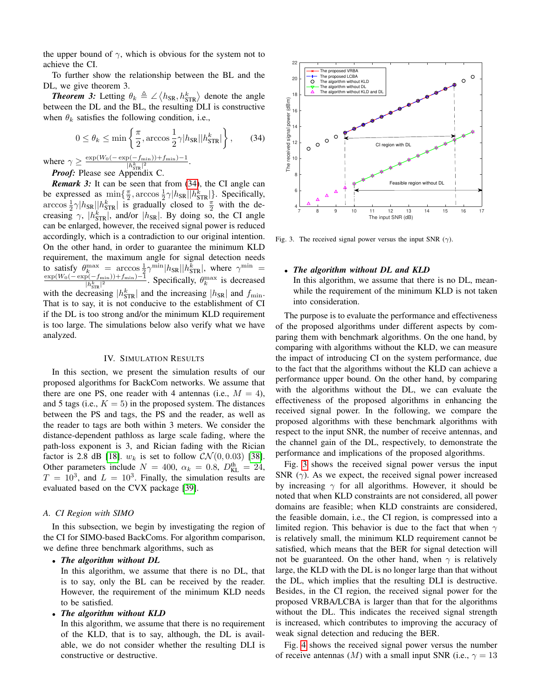the upper bound of  $\gamma$ , which is obvious for the system not to achieve the CI.

To further show the relationship between the BL and the DL, we give theorem 3.

**Theorem 3:** Letting  $\theta_k \triangleq \angle \langle h_{SR}, h_{STR}^k \rangle$  denote the angle between the DL and the BL, the resulting DLI is constructive when  $\theta_k$  satisfies the following condition, i.e.,

<span id="page-6-0"></span>
$$
0 \le \theta_k \le \min\left\{\frac{\pi}{2}, \arccos\frac{1}{2}\gamma|h_{\text{SR}}||h_{\text{STR}}^k|\right\},\qquad(34)
$$

where  $\gamma \geq \frac{\exp(W_0(-\exp(-f_{\min}))+f_{\min})-1}{|h^k-1|^2}$  $\frac{|p(-J_{\min}))+J_{\min})-1}{|h_{\text{STR}}^k|^2}$ .

*Proof:* Please see Appendix C.

*Remark 3:* It can be seen that from [\(34\)](#page-6-0), the CI angle can be expressed as  $\min\{\frac{\pi}{2}, \arccos \frac{1}{2}\gamma|h_{SR}||h_{STR}^k|\}$ . Specifically,  $\arccos \frac{1}{2} \gamma |h_{SR}| |h_{STR}^k|$  is gradually closed to  $\frac{\pi}{2}$  with the decreasing  $\gamma$ ,  $|h_{STR}^k|$ , and/or  $|h_{SR}|$ . By doing so, the CI angle can be enlarged, however, the received signal power is reduced accordingly, which is a contradiction to our original intention. On the other hand, in order to guarantee the minimum KLD requirement, the maximum angle for signal detection needs to satisfy  $\theta_k^{\max} = \arccos \frac{1}{2} \gamma^{\min} |h_{SR}| |h_{STR}^k|$ , where  $\gamma^{\min} =$  $\exp(W_0(-\exp(-f_{\min}))+f_{\min})-1$  $\frac{p(-f_{\min}))+f_{\min}-1}{|h_{\text{STR}}^k|^2}$ . Specifically,  $\theta_k^{\max}$  is decreased with the decreasing  $|h_{\text{STR}}^k|$  and the increasing  $|h_{\text{SR}}|$  and  $f_{\text{min}}$ . That is to say, it is not conducive to the establishment of CI if the DL is too strong and/or the minimum KLD requirement is too large. The simulations below also verify what we have analyzed.

# IV. SIMULATION RESULTS

In this section, we present the simulation results of our proposed algorithms for BackCom networks. We assume that there are one PS, one reader with 4 antennas (i.e.,  $M = 4$ ), and 5 tags (i.e.,  $K = 5$ ) in the proposed system. The distances between the PS and tags, the PS and the reader, as well as the reader to tags are both within 3 meters. We consider the distance-dependent pathloss as large scale fading, where the path-loss exponent is 3, and Rician fading with the Rician factor is 2.8 dB [\[18\]](#page-10-11).  $w_k$  is set to follow  $CN(0, 0.03)$  [\[38\]](#page-10-29). Other parameters include  $N = 400$ ,  $\alpha_k = 0.8$ ,  $D_{KL}^{th} = 24$ ,  $T = 10^3$ , and  $L = 10^3$ . Finally, the simulation results are evaluated based on the CVX package [\[39\]](#page-10-30).

# *A. CI Region with SIMO*

In this subsection, we begin by investigating the region of the CI for SIMO-based BackComs. For algorithm comparison, we define three benchmark algorithms, such as

# • *The algorithm without DL*

In this algorithm, we assume that there is no DL, that is to say, only the BL can be received by the reader. However, the requirement of the minimum KLD needs to be satisfied.

• *The algorithm without KLD*

In this algorithm, we assume that there is no requirement of the KLD, that is to say, although, the DL is available, we do not consider whether the resulting DLI is constructive or destructive.



<span id="page-6-1"></span>Fig. 3. The received signal power versus the input SNR ( $\gamma$ ).

# • *The algorithm without DL and KLD*

In this algorithm, we assume that there is no DL, meanwhile the requirement of the minimum KLD is not taken into consideration.

The purpose is to evaluate the performance and effectiveness of the proposed algorithms under different aspects by comparing them with benchmark algorithms. On the one hand, by comparing with algorithms without the KLD, we can measure the impact of introducing CI on the system performance, due to the fact that the algorithms without the KLD can achieve a performance upper bound. On the other hand, by comparing with the algorithms without the DL, we can evaluate the effectiveness of the proposed algorithms in enhancing the received signal power. In the following, we compare the proposed algorithms with these benchmark algorithms with respect to the input SNR, the number of receive antennas, and the channel gain of the DL, respectively, to demonstrate the performance and implications of the proposed algorithms.

Fig. [3](#page-6-1) shows the received signal power versus the input SNR  $(\gamma)$ . As we expect, the received signal power increased by increasing  $\gamma$  for all algorithms. However, it should be noted that when KLD constraints are not considered, all power domains are feasible; when KLD constraints are considered, the feasible domain, i.e., the CI region, is compressed into a limited region. This behavior is due to the fact that when  $\gamma$ is relatively small, the minimum KLD requirement cannot be satisfied, which means that the BER for signal detection will not be guaranteed. On the other hand, when  $\gamma$  is relatively large, the KLD with the DL is no longer large than that without the DL, which implies that the resulting DLI is destructive. Besides, in the CI region, the received signal power for the proposed VRBA/LCBA is larger than that for the algorithms without the DL. This indicates the received signal strength is increased, which contributes to improving the accuracy of weak signal detection and reducing the BER.

Fig. [4](#page-7-0) shows the received signal power versus the number of receive antennas (M) with a small input SNR (i.e.,  $\gamma = 13$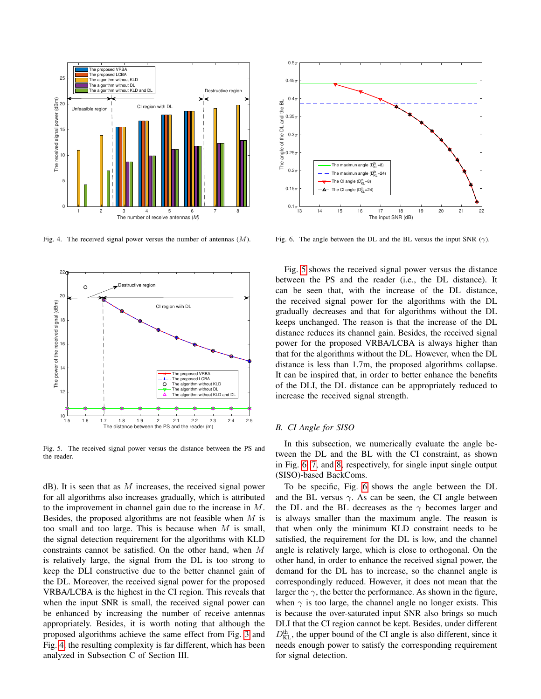

<span id="page-7-0"></span>Fig. 4. The received signal power versus the number of antennas  $(M)$ .



<span id="page-7-1"></span>Fig. 5. The received signal power versus the distance between the PS and the reader.

 $dB$ ). It is seen that as M increases, the received signal power for all algorithms also increases gradually, which is attributed to the improvement in channel gain due to the increase in M. Besides, the proposed algorithms are not feasible when  $M$  is too small and too large. This is because when  $M$  is small, the signal detection requirement for the algorithms with KLD constraints cannot be satisfied. On the other hand, when M is relatively large, the signal from the DL is too strong to keep the DLI constructive due to the better channel gain of the DL. Moreover, the received signal power for the proposed VRBA/LCBA is the highest in the CI region. This reveals that when the input SNR is small, the received signal power can be enhanced by increasing the number of receive antennas appropriately. Besides, it is worth noting that although the proposed algorithms achieve the same effect from Fig. [3](#page-6-1) and Fig. [4,](#page-7-0) the resulting complexity is far different, which has been analyzed in Subsection C of Section III.



<span id="page-7-2"></span>Fig. 6. The angle between the DL and the BL versus the input SNR ( $\gamma$ ).

Fig. [5](#page-7-1) shows the received signal power versus the distance between the PS and the reader (i.e., the DL distance). It can be seen that, with the increase of the DL distance, the received signal power for the algorithms with the DL gradually decreases and that for algorithms without the DL keeps unchanged. The reason is that the increase of the DL distance reduces its channel gain. Besides, the received signal power for the proposed VRBA/LCBA is always higher than that for the algorithms without the DL. However, when the DL distance is less than 1.7m, the proposed algorithms collapse. It can be inspired that, in order to better enhance the benefits of the DLI, the DL distance can be appropriately reduced to increase the received signal strength.

# *B. CI Angle for SISO*

In this subsection, we numerically evaluate the angle between the DL and the BL with the CI constraint, as shown in Fig. [6,](#page-7-2) [7,](#page-8-0) and [8,](#page-8-1) respectively, for single input single output (SISO)-based BackComs.

To be specific, Fig. [6](#page-7-2) shows the angle between the DL and the BL versus  $\gamma$ . As can be seen, the CI angle between the DL and the BL decreases as the  $\gamma$  becomes larger and is always smaller than the maximum angle. The reason is that when only the minimum KLD constraint needs to be satisfied, the requirement for the DL is low, and the channel angle is relatively large, which is close to orthogonal. On the other hand, in order to enhance the received signal power, the demand for the DL has to increase, so the channel angle is correspondingly reduced. However, it does not mean that the larger the  $\gamma$ , the better the performance. As shown in the figure, when  $\gamma$  is too large, the channel angle no longer exists. This is because the over-saturated input SNR also brings so much DLI that the CI region cannot be kept. Besides, under different  $D_{\text{KL}}^{\text{th}}$ , the upper bound of the CI angle is also different, since it needs enough power to satisfy the corresponding requirement for signal detection.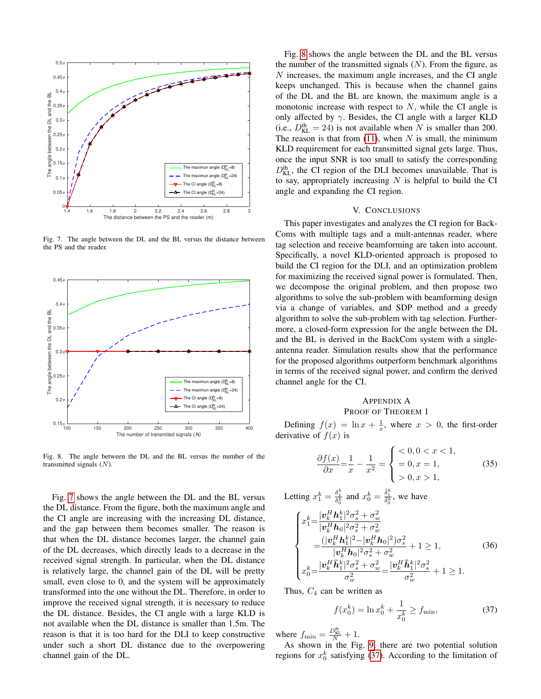

<span id="page-8-0"></span>Fig. 7. The angle between the DL and the BL versus the distance between the PS and the reader.



<span id="page-8-1"></span>Fig. 8. The angle between the DL and the BL versus the number of the transmitted signals  $(N)$ .

Fig. [7](#page-8-0) shows the angle between the DL and the BL versus the DL distance. From the figure, both the maximum angle and the CI angle are increasing with the increasing DL distance, and the gap between them becomes smaller. The reason is that when the DL distance becomes larger, the channel gain of the DL decreases, which directly leads to a decrease in the received signal strength. In particular, when the DL distance is relatively large, the channel gain of the DL will be pretty small, even close to 0, and the system will be approximately transformed into the one without the DL. Therefore, in order to improve the received signal strength, it is necessary to reduce the DL distance. Besides, the CI angle with a large KLD is not available when the DL distance is smaller than 1.5m. The reason is that it is too hard for the DLI to keep constructive under such a short DL distance due to the overpowering channel gain of the DL.

Fig. [8](#page-8-1) shows the angle between the DL and the BL versus the number of the transmitted signals  $(N)$ . From the figure, as N increases, the maximum angle increases, and the CI angle keeps unchanged. This is because when the channel gains of the DL and the BL are known, the maximum angle is a monotonic increase with respect to  $N$ , while the CI angle is only affected by  $\gamma$ . Besides, the CI angle with a larger KLD (i.e.,  $D_{KL}^{th} = 24$ ) is not available when N is smaller than 200. The reason is that from  $(11)$ , when N is small, the minimum KLD requirement for each transmitted signal gets large. Thus, once the input SNR is too small to satisfy the corresponding  $D_{\text{KL}}^{\text{th}}$ , the CI region of the DLI becomes unavailable. That is to say, appropriately increasing  $N$  is helpful to build the CI angle and expanding the CI region.

# V. CONCLUSIONS

This paper investigates and analyzes the CI region for Back-Coms with multiple tags and a mult-antennas reader, where tag selection and receive beamforming are taken into account. Specifically, a novel KLD-oriented approach is proposed to build the CI region for the DLI, and an optimization problem for maximizing the received signal power is formulated. Then, we decompose the original problem, and then propose two algorithms to solve the sub-problem with beamforming design via a change of variables, and SDP method and a greedy algorithm to solve the sub-problem with tag selection. Furthermore, a closed-form expression for the angle between the DL and the BL is derived in the BackCom system with a singleantenna reader. Simulation results show that the performance for the proposed algorithms outperform benchmark algorithms in terms of the received signal power, and confirm the derived channel angle for the CI.

# APPENDIX A PROOF OF THEOREM 1

Defining  $f(x) = \ln x + \frac{1}{x}$ , where  $x > 0$ , the first-order derivative of  $f(x)$  is

$$
\frac{\partial f(x)}{\partial x} = \frac{1}{x} - \frac{1}{x^2} = \begin{cases} < 0, 0 < x < 1, \\ = 0, x = 1, < 1, \\ > 0, x > 1, \end{cases} \tag{35}
$$

Letting  $x_1^k = \frac{\delta_1^k}{\delta_0^k}$  and  $x_0^k = \frac{\bar{\delta}_1^k}{\bar{\delta}_0^k}$ , we have

<span id="page-8-3"></span>
$$
\begin{cases}\nx_1^k = \frac{|\mathbf{v}_k^H \mathbf{h}_1^k|^2 \sigma_s^2 + \sigma_w^2}{|\mathbf{v}_k^H \mathbf{h}_0|^2 \sigma_s^2 + \sigma_w^2} \\
= \frac{(|\mathbf{v}_k^H \mathbf{h}_1^k|^2 - |\mathbf{v}_k^H \mathbf{h}_0|^2 \sigma_s^2}{|\mathbf{v}_k^H \mathbf{h}_0|^2 \sigma_s^2 + \sigma_w^2} + 1 \ge 1, \\
x_0^k = \frac{|\mathbf{v}_k^H \mathbf{h}_1^k|^2 \sigma_s^2 + \sigma_w^2}{\sigma_w^2} = \frac{|\mathbf{v}_k^H \mathbf{h}_1^k|^2 \sigma_s^2}{\sigma_w^2} + 1 \ge 1.\n\end{cases} (36)
$$

Thus,  $C_4$  can be written as

<span id="page-8-2"></span>
$$
f(x_0^k) = \ln x_0^k + \frac{1}{x_0^k} \ge f_{\min},\tag{37}
$$

where  $f_{\min} = \frac{D_{\text{KL}}^{\text{th}}}{N} + 1$ .

As shown in the Fig. [9,](#page-9-3) there are two potential solution regions for  $x_0^k$  satisfying [\(37\)](#page-8-2). According to the limitation of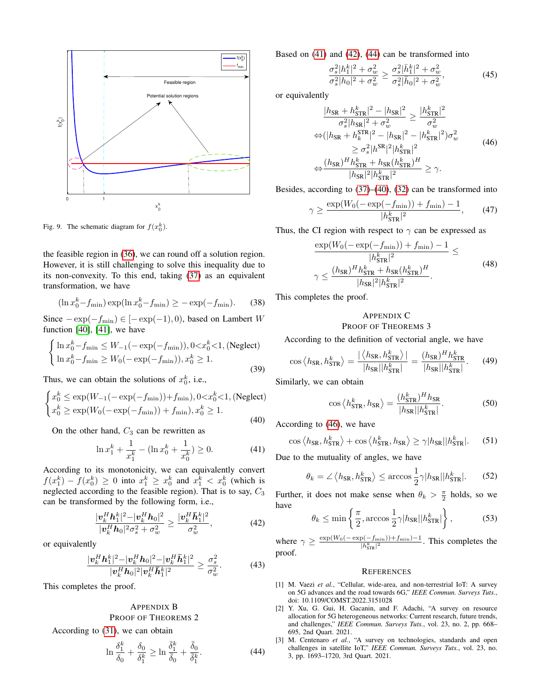

<span id="page-9-3"></span>Fig. 9. The schematic diagram for  $f(x_0^k)$ .

the feasible region in [\(36\)](#page-8-3), we can round off a solution region. However, it is still challenging to solve this inequality due to its non-convexity. To this end, taking [\(37\)](#page-8-2) as an equivalent transformation, we have

$$
(\ln x_0^k - f_{\min}) \exp(\ln x_0^k - f_{\min}) \ge -\exp(-f_{\min}).
$$
 (38)

Since  $-\exp(-f_{\min}) \in [-\exp(-1), 0)$ , based on Lambert W function [\[40\]](#page-10-31), [\[41\]](#page-10-32), we have

$$
\begin{cases} \ln x_0^k - f_{\min} \le W_{-1}(-\exp(-f_{\min})), 0 < x_0^k < 1, \text{ (Neglect)}\\ \ln x_0^k - f_{\min} \ge W_0(-\exp(-f_{\min})), x_0^k \ge 1. \end{cases}
$$
\n(39)

Thus, we can obtain the solutions of  $x_0^k$ , i.e.,

<span id="page-9-7"></span>
$$
\begin{cases} x_0^k \le \exp(W_{-1}(-\exp(-f_{\min}))+f_{\min}), 0 < x_0^k < 1, \text{ (Neglect)}\\ x_0^k \ge \exp(W_0(-\exp(-f_{\min}))+f_{\min}), x_0^k \ge 1. \end{cases}
$$
\n(40)

On the other hand,  $C_3$  can be rewritten as

<span id="page-9-4"></span>
$$
\ln x_1^k + \frac{1}{x_1^k} - (\ln x_0^k + \frac{1}{x_0^k}) \ge 0.
$$
 (41)

According to its monotonicity, we can equivalently convert  $f(x_1^k) - f(x_0^k) \ge 0$  into  $x_1^k \ge x_0^k$  and  $x_1^k < x_0^k$  (which is neglected according to the feasible region). That is to say,  $C_3$ can be transformed by the following form, i.e.,

<span id="page-9-5"></span>
$$
\frac{|\boldsymbol{v}_{k}^{H}\boldsymbol{h}_{1}^{k}|^{2}-|\boldsymbol{v}_{k}^{H}\boldsymbol{h}_{0}|^{2}}{|\boldsymbol{v}_{k}^{H}\boldsymbol{h}_{0}|^{2}\sigma_{s}^{2}+\sigma_{w}^{2}} \geq \frac{|\boldsymbol{v}_{k}^{H}\bar{\boldsymbol{h}}_{1}^{k}|^{2}}{\sigma_{w}^{2}},
$$
(42)

or equivalently

$$
\frac{|\mathbf{v}_{k}^{H}\mathbf{h}_{1}^{k}|^{2}-|\mathbf{v}_{k}^{H}\mathbf{h}_{0}|^{2}-|\mathbf{v}_{k}^{H}\bar{\mathbf{h}}_{1}^{k}|^{2}}{|\mathbf{v}_{k}^{H}\bar{\mathbf{h}}_{0}|^{2}|\mathbf{v}_{k}^{H}\bar{\mathbf{h}}_{1}^{k}|^{2}} \geq \frac{\sigma_{s}^{2}}{\sigma_{w}^{2}}.
$$
 (43)

This completes the proof.

# APPENDIX B PROOF OF THEOREMS 2

According to [\(31\)](#page-5-3), we can obtain

<span id="page-9-6"></span>
$$
\ln \frac{\delta_1^k}{\delta_0} + \frac{\delta_0}{\delta_1^k} \ge \ln \frac{\bar{\delta}_1^k}{\bar{\delta}_0} + \frac{\bar{\delta}_0}{\bar{\delta}_1^k}.
$$
\n(44)

Based on [\(41\)](#page-9-4) and [\(42\)](#page-9-5), [\(44\)](#page-9-6) can be transformed into

$$
\frac{\sigma_s^2|h_1^k|^2 + \sigma_w^2}{\sigma_s^2|h_0|^2 + \sigma_w^2} \ge \frac{\sigma_s^2|\bar{h}_1^k|^2 + \sigma_w^2}{\sigma_s^2|\bar{h}_0|^2 + \sigma_w^2},\tag{45}
$$

or equivalently

<span id="page-9-8"></span>
$$
\frac{|h_{SR} + h_{STR}^k|^2 - |h_{SR}|^2}{\sigma_s^2 |h_{SR}|^2 + \sigma_w^2} \ge \frac{|h_{STR}^k|^2}{\sigma_w^2}
$$
  
\n
$$
\Leftrightarrow (|h_{SR} + h_{k}^{STR}|^2 - |h_{SR}|^2 - |h_{STR}^k|^2)\sigma_w^2
$$
  
\n
$$
\ge \sigma_s^2 |h_{STR}^{SR}|^2 |h_{STR}^k|^2
$$
  
\n
$$
\Leftrightarrow \frac{(h_{SR})^H h_{STR}^k + h_{SR} (h_{STR}^k)^H}{|h_{SR}|^2 |h_{STR}^k|^2} \ge \gamma.
$$
 (46)

Besides, according to [\(37\)](#page-8-2)–[\(40\)](#page-9-7), [\(32\)](#page-5-4) can be transformed into

$$
\gamma \ge \frac{\exp(W_0(-\exp(-f_{\min}))+f_{\min})-1}{|h_{\text{STR}}^k|^2},\qquad(47)
$$

Thus, the CI region with respect to  $\gamma$  can be expressed as

$$
\frac{\exp(W_0(-\exp(-f_{\min}))+f_{\min})-1}{|h_{\text{STR}}^k|^2} \le
$$
\n
$$
\gamma \le \frac{(h_{\text{SR}})^H h_{\text{STR}}^k + h_{\text{SR}} (h_{\text{STR}}^k)^H}{|h_{\text{SR}}|^2 |h_{\text{STR}}^k|^2}.
$$
\n(48)

This completes the proof.

# APPENDIX C PROOF OF THEOREMS 3

According to the definition of vectorial angle, we have

$$
\cos \left\langle h_{\text{SR}}, h_{\text{STR}}^k \right\rangle = \frac{|\left\langle h_{\text{SR}}, h_{\text{STR}}^k \right\rangle|}{|h_{\text{SR}}||h_{\text{STR}}^k|} = \frac{(h_{\text{SR}})^H h_{\text{STR}}^k}{|h_{\text{SR}}||h_{\text{STR}}^k|}.
$$
 (49)

Similarly, we can obtain

$$
\cos\left\langle h_{\text{STR}}^k, h_{\text{SR}} \right\rangle = \frac{(h_{\text{STR}}^k)^H h_{\text{SR}}}{|h_{\text{SR}}||h_{\text{STR}}^k|}.
$$
 (50)

According to [\(46\)](#page-9-8), we have

$$
\cos \left\langle h_{\text{SR}}, h_{\text{STR}}^k \right\rangle + \cos \left\langle h_{\text{STR}}^k, h_{\text{SR}} \right\rangle \ge \gamma |h_{\text{SR}}||h_{\text{STR}}^k|.
$$
 (51)

Due to the mutuality of angles, we have

$$
\theta_k = \angle \left\langle h_{\text{SR}}, h_{\text{STR}}^k \right\rangle \le \arccos \frac{1}{2} \gamma |h_{\text{SR}}||h_{\text{STR}}^k|.
$$
 (52)

Further, it does not make sense when  $\theta_k > \frac{\pi}{2}$  holds, so we have

$$
\theta_k \le \min\left\{\frac{\pi}{2}, \arccos\frac{1}{2}\gamma|h_{\text{SR}}||h_{\text{STR}}^k|\right\},\tag{53}
$$

where  $\gamma \geq \frac{\exp(W_0(-\exp(-f_{\min}))+f_{\min})-1}{\log k - 1}$  $\frac{|p(-J_{\min}))+J_{\min} - 1|}{|h_{\text{STR}}^k|^2}$ . This completes the proof.

### **REFERENCES**

- <span id="page-9-0"></span>[1] M. Vaezi *et al.*, "Cellular, wide-area, and non-terrestrial IoT: A survey on 5G advances and the road towards 6G," *IEEE Commun. Surveys Tuts.*, doi: 10.1109/COMST.2022.3151028
- <span id="page-9-1"></span>[2] Y. Xu, G. Gui, H. Gacanin, and F. Adachi, "A survey on resource allocation for 5G heterogeneous networks: Current research, future trends, and challenges," *IEEE Commun. Surveys Tuts.*, vol. 23, no. 2, pp. 668– 695, 2nd Quart. 2021.
- <span id="page-9-2"></span>[3] M. Centenaro et al., "A survey on technologies, standards and open challenges in satellite IoT," *IEEE Commun. Surveys Tuts.*, vol. 23, no. 3, pp. 1693–1720, 3rd Quart. 2021.